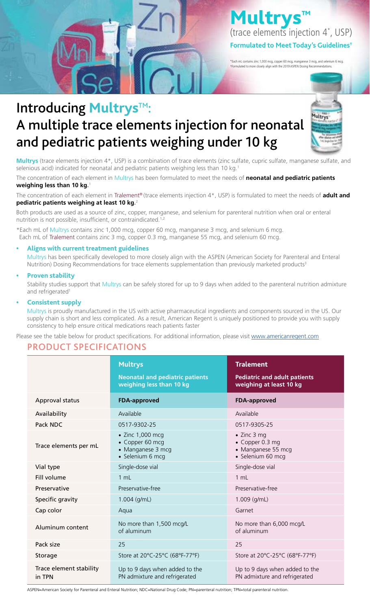## Multrys**™** (trace elements injection 4\* , USP) **Formulated to Meet Today's Guidelines†**

\*Each mL contains zinc 1,000 mcg, copper 60 mcg, manganese 3 mcg, and selenium 6 mcg. †Formulated to more closely align with the 2019 ASPEN Dosing Recommendations.

# Introducing **Multrys™:**

# A multiple trace elements injection for neonatal and pediatric patients weighing under 10 kg



**Multrys** (trace elements injection 4\*, USP) is a combination of trace elements (zinc sulfate, cupric sulfate, manganese sulfate, and selenious acid) indicated for neonatal and pediatric patients weighing less than 10 kg.<sup>1</sup>

The concentration of each element in Multrys has been formulated to meet the needs of **neonatal and pediatric patients weighing less than 10 kg.** 1

The concentration of each element in Tralement® (trace elements injection 4\*, USP) is formulated to meet the needs of **adult and pediatric patients weighing at least 10 kg.** 2

Both products are used as a source of zinc, copper, manganese, and selenium for parenteral nutrition when oral or enteral nutrition is not possible, insufficient, or contraindicated.<sup>1</sup>

\*Each mL of Multrys contains zinc 1,000 mcg, copper 60 mcg, manganese 3 mcg, and selenium 6 mcg. Each mL of Tralement contains zinc 3 mg, copper 0.3 mg, manganese 55 mcg, and selenium 60 mcg.

#### **• Aligns with current treatment guidelines**

Multrys has been specifically developed to more closely align with the ASPEN (American Society for Parenteral and Enteral Nutrition) Dosing Recommendations for trace elements supplementation than previously marketed products<sup>3</sup>

#### **• Proven stability**

Stability studies support that Multrys can be safely stored for up to 9 days when added to the parenteral nutrition admixture and refrigerated<sup>1</sup>

#### **• Consistent supply**

Multrys is proudly manufactured in the US with active pharmaceutical ingredients and components sourced in the US. Our supply chain is short and less complicated. As a result, American Regent is uniquely positioned to provide you with supply consistency to help ensure critical medications reach patients faster

Please see the table below for product specifications. For additional information, please visit [www.americanregent.com](http://www.americanregent.com/our-products/)

## PRODUCT SPECIFICATIONS

|                                   | <b>Multrys</b><br><b>Neonatal and pediatric patients</b><br>weighing less than 10 kg | <b>Tralement</b><br><b>Pediatric and adult patients</b><br>weighing at least 10 kg |
|-----------------------------------|--------------------------------------------------------------------------------------|------------------------------------------------------------------------------------|
| Approval status                   | <b>FDA-approved</b>                                                                  | <b>FDA-approved</b>                                                                |
| Availability                      | Available                                                                            | Available                                                                          |
| Pack NDC                          | 0517-9302-25                                                                         | 0517-9305-25                                                                       |
| Trace elements per mL             | • Zinc 1,000 mcg<br>• Copper 60 mcg<br>• Manganese 3 mcg<br>· Selenium 6 mcg         | $\bullet$ Zinc 3 mg<br>• Copper 0.3 mg<br>• Manganese 55 mcg<br>· Selenium 60 mcg  |
| Vial type                         | Single-dose vial                                                                     | Single-dose vial                                                                   |
| Fill volume                       | 1 mL                                                                                 | 1 mL                                                                               |
| Preservative                      | Preservative-free                                                                    | Preservative-free                                                                  |
| Specific gravity                  | $1.004$ (g/mL)                                                                       | $1.009$ (g/mL)                                                                     |
| Cap color                         | Aqua                                                                                 | Garnet                                                                             |
| Aluminum content                  | No more than 1,500 mcg/L<br>of aluminum                                              | No more than 6,000 mcg/L<br>of aluminum                                            |
| Pack size                         | 25                                                                                   | 25                                                                                 |
| Storage                           | Store at 20°C-25°C (68°F-77°F)                                                       | Store at 20°C-25°C (68°F-77°F)                                                     |
| Trace element stability<br>in TPN | Up to 9 days when added to the<br>PN admixture and refrigerated                      | Up to 9 days when added to the<br>PN admixture and refrigerated                    |

ASPEN=American Society for Parenteral and Enteral Nutrition; NDC=National Drug Code; PN=parenteral nutrition; TPN=total parenteral nutrition.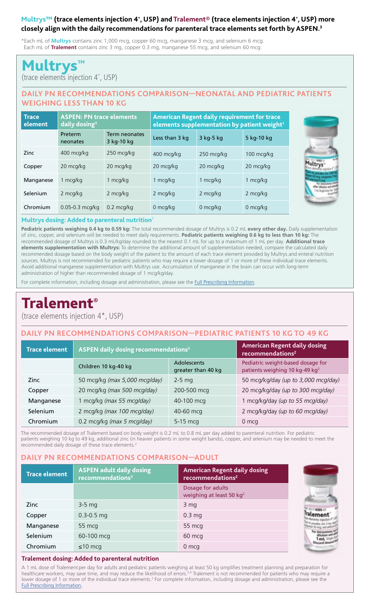## **Multrys™ (trace elements injection 4\*, USP) and Tralement® (trace elements injection 4\*, USP) more closely align with the daily recommendations for parenteral trace elements set forth by ASPEN.3**

\*Each mL of **Multrys** contains zinc 1,000 mcg, copper 60 mcg, manganese 3 mcg, and selenium 6 mcg. Each mL of **Tralement** contains zinc 3 mg, copper 0.3 mg, manganese 55 mcg, and selenium 60 mcg.

## Multrys**™**

(trace elements injection 4\* , USP)  $\mathcal{L}_{\mathcal{L}}$  mL contains zinc 1,000 mcg, manganese 3 mcg, and selenium 6 mcg, and selenium 6 mcg. and selenium 6 mcg. and selenium 6 mcg. and selenium 6 mcg. and selenium 6 mcg. and selenium 6 mcg. and selenium 6 mcg. a

## **DAILY PN RECOMMENDATIONS COMPARISON—NEONATAL AND PEDIATRIC PATIENTS WEIGHING LESS THAN 10 KG**

**Multrys** 

**RANGE** 

| <b>Trace</b><br>element | <b>ASPEN: PN trace elements</b><br>daily dosing <sup>3</sup> |                             | <b>American Regent daily requirement for trace</b><br>elements supplementation by patient weight <sup>1</sup> |            |            |
|-------------------------|--------------------------------------------------------------|-----------------------------|---------------------------------------------------------------------------------------------------------------|------------|------------|
|                         | Preterm<br>neonates                                          | Term neonates<br>3 kg-10 kg | Less than 3 kg                                                                                                | 3 kg-5 kg  | 5 kg-10 kg |
| <b>Zinc</b>             | 400 mcg/kg                                                   | 250 mcg/kg                  | 400 mcg/kg                                                                                                    | 250 mcg/kg | 100 mcg/kg |
| Copper                  | 20 mcg/kg                                                    | 20 mcg/kg                   | 20 mcg/kg                                                                                                     | 20 mcg/kg  | 20 mcg/kg  |
| Manganese               | 1 mcg/kg                                                     | 1 mcg/kg                    | 1 mcg/kg                                                                                                      | 1 mcg/kg   | 1 mcg/kg   |
| Selenium                | 2 mcg/kg                                                     | 2 mcg/kg                    | 2 mcg/kg                                                                                                      | 2 mcg/kg   | 2 mcg/kg   |
| Chromium                | $0.05 - 0.3$ mcg/kg                                          | $0.2 \text{ mca/kg}$        | 0 mcg/kg                                                                                                      | 0 mcg/kg   | 0 mcg/kg   |



**Pediatric patients weighing 0.4 kg to 0.59 kg:** The total recommended dosage of Multrys is 0.2 mL **every other day.** Daily supplementation of zinc, copper, and selenium will be needed to meet daily requirements. **Pediatric patients weighing 0.6 kg to less than 10 kg:** The recommended dosage of Multrys is 0.3 mL/kg/day rounded to the nearest 0.1 mL for up to a maximum of 1 mL per day. **Additional trace elements supplementation with Multrys:** To determine the additional amount of supplementation needed, compare the calculated daily recommended dosage based on the body weight of the patient to the amount of each trace element provided by Multrys and enteral nutrition sources. Multrys is not recommended for pediatric patients who may require a lower dosage of 1 or more of these individual trace elements. Avoid additional manganese supplementation with Multrys use. Accumulation of manganese in the brain can occur with long-term administration of higher than recommended dosage of 1 mcg/kg/day.

For complete information, including dosage and administration, please see the **Full Prescribing Information**.

# Tralement®

(trace elements injection 4\*, USP)

## **DAILY PN RECOMMENDATIONS COMPARISON—PEDIATRIC PATIENTS 10 KG TO 49 KG**

| <b>Trace element</b> | <b>ASPEN daily dosing recommendations3</b> | <b>American Regent daily dosing</b><br>recommendations <sup>2</sup> |                                                                                 |
|----------------------|--------------------------------------------|---------------------------------------------------------------------|---------------------------------------------------------------------------------|
|                      | Children 10 kg-40 kg                       | <b>Adolescents</b><br>greater than 40 kg                            | Pediatric weight-based dosage for<br>patients weighing 10 kg-49 kg <sup>2</sup> |
| Zinc                 | 50 mcg/kg (max 5,000 mcg/day)              | $2-5$ mg                                                            | 50 mcg/kg/day (up to 3,000 mcg/day)                                             |
| Copper               | 20 mcg/kg (max 500 mcg/day)                | 200-500 mcg                                                         | 20 mcg/kg/day (up to 300 mcg/day)                                               |
| Manganese            | 1 mcg/kg (max 55 mcg/day)                  | 40-100 mcg                                                          | 1 mcg/kg/day (up to 55 mcg/day)                                                 |
| <b>Selenium</b>      | 2 mcg/kg (max 100 mcg/day)                 | 40-60 mcg                                                           | 2 mcg/kg/day (up to 60 mcg/day)                                                 |
| Chromium             | 0.2 mcg/kg (max 5 mcg/day)                 | $5-15$ mcg                                                          | 0 <sub>mcq</sub>                                                                |

The recommended dosage of Tralement based on body weight is 0.2 mL to 0.8 mL per day added to parenteral nutrition. For pediatric patients weighing 10 kg to 49 kg, additional zinc (in heavier patients in some weight bands), copper, and selenium may be needed to meet the recommended daily dosage of these trace elements.2

## **DAILY PN RECOMMENDATIONS COMPARISON—ADULT**

| <b>Trace element</b> | <b>ASPEN adult daily dosing</b><br>recommendations <sup>3</sup> | <b>American Regent daily dosing</b><br>recommendations <sup>2</sup> |  |
|----------------------|-----------------------------------------------------------------|---------------------------------------------------------------------|--|
|                      |                                                                 | Dosage for adults<br>weighing at least 50 kg <sup>2</sup>           |  |
| <b>Zinc</b>          | $3-5$ mg                                                        | 3 <sub>mg</sub>                                                     |  |
| Copper               | $0.3 - 0.5$ mg                                                  | $0.3 \text{ mg}$                                                    |  |
| Manganese            | 55 mcg                                                          | 55 mcg                                                              |  |
| Selenium             | 60-100 mcg                                                      | 60 mcg                                                              |  |
| Chromium             | $\leq 10$ mcg                                                   | $0 \text{ mcq}$                                                     |  |

## **Tralement dosing: Added to parenteral nutrition**

A 1 mL dose of Tralement per day for adults and pediatric patients weighing at least 50 kg simplifies treatment planning and preparation for healthcare workers, may save time, and may reduce the likelihood of errors.<sup>2,4</sup> Tralement is not recommended for patients who may require a lower dosage of 1 or more of the individual trace elements.<sup>2</sup> For complete information, including dosage and administration, please see the [Full Prescribing Information](https://americanregent.com/media/2998/tralement_prescribinginformation_commercialinsert_16jul2020.pdf).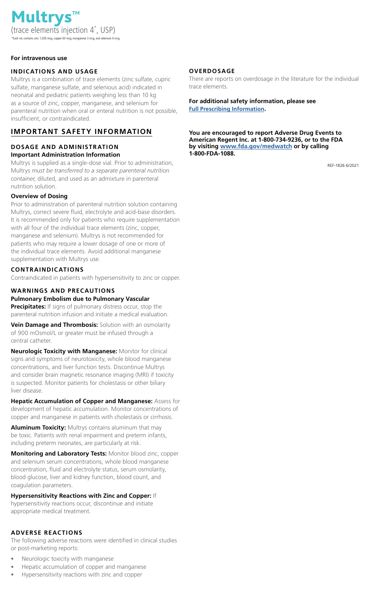Multrys**™** (trace elements injection 4\* , USP) \*Each mL contains zinc 1,000 mcg, copper 60 mcg, manganese 3 mcg, and selenium 6 mcg.

#### **For intravenous use**

#### **INDICATIONS AND USAGE**

Multrys is a combination of trace elements (zinc sulfate, cupric sulfate, manganese sulfate, and selenious acid) indicated in neonatal and pediatric patients weighing less than 10 kg as a source of zinc, copper, manganese, and selenium for parenteral nutrition when oral or enteral nutrition is not possible, insufficient, or contraindicated.

### **IMPORTANT SAFETY INFORMATION**

#### **DOSAGE AND ADMINISTRATION Important Administration Information**

Multrys is supplied as a single-dose vial. Prior to administration, Multrys *must be transferred to a separate parenteral nutrition container*, diluted, and used as an admixture in parenteral nutrition solution.

#### **Overview of Dosing**

Prior to administration of parenteral nutrition solution containing Multrys, correct severe fluid, electrolyte and acid-base disorders. It is recommended only for patients who require supplementation with all four of the individual trace elements (zinc, copper, manganese and selenium). Multrys is not recommended for patients who may require a lower dosage of one or more of the individual trace elements. Avoid additional manganese supplementation with Multrys use.

#### **CONTRAINDICATIONS**

Contraindicated in patients with hypersensitivity to zinc or copper.

## **WARNINGS AND PRECAUTIONS Pulmonary Embolism due to Pulmonary Vascular**

**Precipitates:** If signs of pulmonary distress occur, stop the parenteral nutrition infusion and initiate a medical evaluation.

**Vein Damage and Thrombosis:** Solution with an osmolarity of 900 mOsmol/L or greater must be infused through a central catheter.

**Neurologic Toxicity with Manganese:** Monitor for clinical signs and symptoms of neurotoxicity, whole blood manganese concentrations, and liver function tests. Discontinue Multrys and consider brain magnetic resonance imaging (MRI) if toxicity is suspected. Monitor patients for cholestasis or other biliary liver disease.

**Hepatic Accumulation of Copper and Manganese:** Assess for development of hepatic accumulation. Monitor concentrations of copper and manganese in patients with cholestasis or cirrhosis.

**Aluminum Toxicity:** Multrys contains aluminum that may be toxic. Patients with renal impairment and preterm infants, including preterm neonates, are particularly at risk.

**Monitoring and Laboratory Tests:** Monitor blood zinc, copper and selenium serum concentrations, whole blood manganese concentration, fluid and electrolyte status, serum osmolarity, blood glucose, liver and kidney function, blood count, and coagulation parameters.

#### **Hypersensitivity Reactions with Zinc and Copper:** If hypersensitivity reactions occur, discontinue and initiate appropriate medical treatment.

#### **ADVERSE REACTIONS**

The following adverse reactions were identified in clinical studies or post-marketing reports:

- Neurologic toxicity with manganese
- Hepatic accumulation of copper and manganese
- Hypersensitivity reactions with zinc and copper

#### **OVERDOSAGE**

There are reports on overdosage in the literature for the individual trace elements.

**For additional safety information, please see [Full Prescribing Information.](https://americanregent.com/media/3146/ref-1835_multrys-insert-in9302-rev-6-2021.pdf)**

**You are encouraged to report Adverse Drug Events to American Regent Inc. at 1-800-734-9236, or to the FDA by visiting [www.fda.gov/medwatch](https://www.fda.gov/safety/medwatch-fda-safety-information-and-adverse-event-reporting-program) or by calling 1-800-FDA-1088.**

REF-1826 6/2021